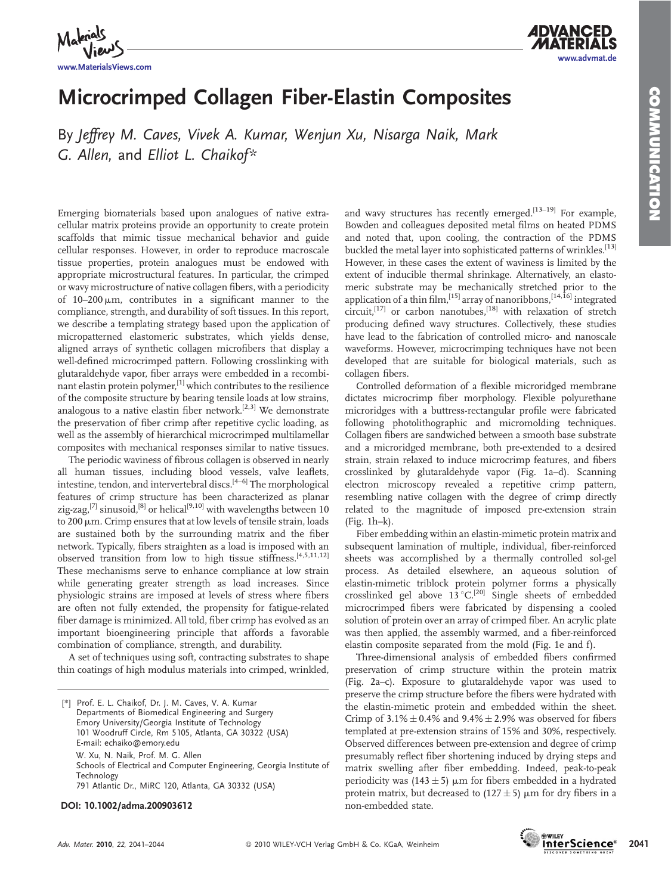www.advmat.de

*A***DVANC** 



Microcrimped Collagen Fiber-Elastin Composites

By Jeffrey M. Caves, Vivek A. Kumar, Wenjun Xu, Nisarga Naik, Mark G. Allen, and Elliot L. Chaikof\*

Emerging biomaterials based upon analogues of native extracellular matrix proteins provide an opportunity to create protein scaffolds that mimic tissue mechanical behavior and guide cellular responses. However, in order to reproduce macroscale tissue properties, protein analogues must be endowed with appropriate microstructural features. In particular, the crimped or wavy microstructure of native collagen fibers, with a periodicity of  $10-200 \mu m$ , contributes in a significant manner to the compliance, strength, and durability of soft tissues. In this report, we describe a templating strategy based upon the application of micropatterned elastomeric substrates, which yields dense, aligned arrays of synthetic collagen microfibers that display a well-defined microcrimped pattern. Following crosslinking with glutaraldehyde vapor, fiber arrays were embedded in a recombinant elastin protein polymer,  $\left[1\right]$  which contributes to the resilience of the composite structure by bearing tensile loads at low strains, analogous to a native elastin fiber network.<sup>[2,3]</sup> We demonstrate the preservation of fiber crimp after repetitive cyclic loading, as well as the assembly of hierarchical microcrimped multilamellar composites with mechanical responses similar to native tissues.

The periodic waviness of fibrous collagen is observed in nearly all human tissues, including blood vessels, valve leaflets, intestine, tendon, and intervertebral discs.<sup>[4-6]</sup> The morphological features of crimp structure has been characterized as planar zig-zag,<sup>[7]</sup> sinusoid,<sup>[8]</sup> or helical<sup>[9,10]</sup> with wavelengths between 10 to 200  $\mu$ m. Crimp ensures that at low levels of tensile strain, loads are sustained both by the surrounding matrix and the fiber network. Typically, fibers straighten as a load is imposed with an observed transition from low to high tissue stiffness.[4,5,11,12] These mechanisms serve to enhance compliance at low strain while generating greater strength as load increases. Since physiologic strains are imposed at levels of stress where fibers are often not fully extended, the propensity for fatigue-related fiber damage is minimized. All told, fiber crimp has evolved as an important bioengineering principle that affords a favorable combination of compliance, strength, and durability.

A set of techniques using soft, contracting substrates to shape thin coatings of high modulus materials into crimped, wrinkled,

[\*] Prof. E. L. Chaikof, Dr. J. M. Caves, V. A. Kumar Departments of Biomedical Engineering and Surgery Emory University/Georgia Institute of Technology 101 Woodruff Circle, Rm 5105, Atlanta, GA 30322 (USA) E-mail: echaiko@emory.edu W. Xu, N. Naik, Prof. M. G. Allen Schools of Electrical and Computer Engineering, Georgia Institute of Technology 791 Atlantic Dr., MiRC 120, Atlanta, GA 30332 (USA)

## DOI: 10.1002/adma.200903612

and wavy structures has recently emerged.<sup>[13-19]</sup> For example, Bowden and colleagues deposited metal films on heated PDMS and noted that, upon cooling, the contraction of the PDMS buckled the metal layer into sophisticated patterns of wrinkles.<sup>[13]</sup> However, in these cases the extent of waviness is limited by the extent of inducible thermal shrinkage. Alternatively, an elastomeric substrate may be mechanically stretched prior to the application of a thin film,<sup>[15]</sup> array of nanoribbons,<sup>[14,16]</sup> integrated circuit,<sup>[17]</sup> or carbon nanotubes,<sup>[18]</sup> with relaxation of stretch producing defined wavy structures. Collectively, these studies have lead to the fabrication of controlled micro- and nanoscale waveforms. However, microcrimping techniques have not been developed that are suitable for biological materials, such as collagen fibers.

Controlled deformation of a flexible microridged membrane dictates microcrimp fiber morphology. Flexible polyurethane microridges with a buttress-rectangular profile were fabricated following photolithographic and micromolding techniques. Collagen fibers are sandwiched between a smooth base substrate and a microridged membrane, both pre-extended to a desired strain, strain relaxed to induce microcrimp features, and fibers crosslinked by glutaraldehyde vapor (Fig. 1a–d). Scanning electron microscopy revealed a repetitive crimp pattern, resembling native collagen with the degree of crimp directly related to the magnitude of imposed pre-extension strain (Fig. 1h–k).

Fiber embedding within an elastin-mimetic protein matrix and subsequent lamination of multiple, individual, fiber-reinforced sheets was accomplished by a thermally controlled sol-gel process. As detailed elsewhere, an aqueous solution of elastin-mimetic triblock protein polymer forms a physically crosslinked gel above  $13^{\circ}$ C.<sup>[20]</sup> Single sheets of embedded microcrimped fibers were fabricated by dispensing a cooled solution of protein over an array of crimped fiber. An acrylic plate was then applied, the assembly warmed, and a fiber-reinforced elastin composite separated from the mold (Fig. 1e and f).

Three-dimensional analysis of embedded fibers confirmed preservation of crimp structure within the protein matrix (Fig. 2a–c). Exposure to glutaraldehyde vapor was used to preserve the crimp structure before the fibers were hydrated with the elastin-mimetic protein and embedded within the sheet. Crimp of  $3.1\% \pm 0.4\%$  and  $9.4\% \pm 2.9\%$  was observed for fibers templated at pre-extension strains of 15% and 30%, respectively. Observed differences between pre-extension and degree of crimp presumably reflect fiber shortening induced by drying steps and matrix swelling after fiber embedding. Indeed, peak-to-peak periodicity was  $(143 \pm 5)$  µm for fibers embedded in a hydrated protein matrix, but decreased to  $(127 \pm 5)$  µm for dry fibers in a non-embedded state.

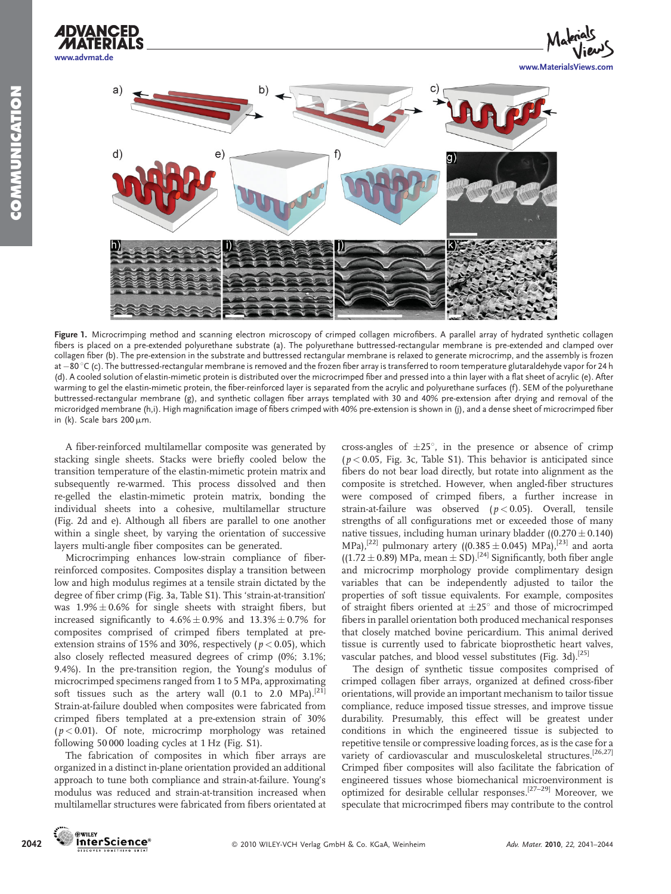





Figure 1. Microcrimping method and scanning electron microscopy of crimped collagen microfibers. A parallel array of hydrated synthetic collagen fibers is placed on a pre-extended polyurethane substrate (a). The polyurethane buttressed-rectangular membrane is pre-extended and clamped over collagen fiber (b). The pre-extension in the substrate and buttressed rectangular membrane is relaxed to generate microcrimp, and the assembly is frozen at –80 °C (c). The buttressed-rectangular membrane is removed and the frozen fiber array is transferred to room temperature glutaraldehyde vapor for 24 h (d). A cooled solution of elastin-mimetic protein is distributed over the microcrimped fiber and pressed into a thin layer with a flat sheet of acrylic (e). After warming to gel the elastin-mimetic protein, the fiber-reinforced layer is separated from the acrylic and polyurethane surfaces (f). SEM of the polyurethane buttressed-rectangular membrane (g), and synthetic collagen fiber arrays templated with 30 and 40% pre-extension after drying and removal of the microridged membrane (h,i). High magnification image of fibers crimped with 40% pre-extension is shown in (j), and a dense sheet of microcrimped fiber in (k). Scale bars  $200 \mu m$ .

A fiber-reinforced multilamellar composite was generated by stacking single sheets. Stacks were briefly cooled below the transition temperature of the elastin-mimetic protein matrix and subsequently re-warmed. This process dissolved and then re-gelled the elastin-mimetic protein matrix, bonding the individual sheets into a cohesive, multilamellar structure (Fig. 2d and e). Although all fibers are parallel to one another within a single sheet, by varying the orientation of successive layers multi-angle fiber composites can be generated.

Microcrimping enhances low-strain compliance of fiberreinforced composites. Composites display a transition between low and high modulus regimes at a tensile strain dictated by the degree of fiber crimp (Fig. 3a, Table S1). This 'strain-at-transition' was  $1.9\% \pm 0.6\%$  for single sheets with straight fibers, but increased significantly to  $4.6\% \pm 0.9\%$  and  $13.3\% \pm 0.7\%$  for composites comprised of crimped fibers templated at preextension strains of 15% and 30%, respectively ( $p < 0.05$ ), which also closely reflected measured degrees of crimp (0%; 3.1%; 9.4%). In the pre-transition region, the Young's modulus of microcrimped specimens ranged from 1 to 5 MPa, approximating soft tissues such as the artery wall (0.1 to 2.0 MPa).<sup>[21]</sup> Strain-at-failure doubled when composites were fabricated from crimped fibers templated at a pre-extension strain of 30%  $(p < 0.01)$ . Of note, microcrimp morphology was retained following 50 000 loading cycles at 1 Hz (Fig. S1).

The fabrication of composites in which fiber arrays are organized in a distinct in-plane orientation provided an additional approach to tune both compliance and strain-at-failure. Young's modulus was reduced and strain-at-transition increased when multilamellar structures were fabricated from fibers orientated at

cross-angles of  $\pm 25^\circ$ , in the presence or absence of crimp  $(p < 0.05$ , Fig. 3c, Table S1). This behavior is anticipated since fibers do not bear load directly, but rotate into alignment as the composite is stretched. However, when angled-fiber structures were composed of crimped fibers, a further increase in strain-at-failure was observed  $(p < 0.05)$ . Overall, tensile strengths of all configurations met or exceeded those of many native tissues, including human urinary bladder  $((0.270 \pm 0.140)$ MPa),<sup>[22]</sup> pulmonary artery ((0.385 ± 0.045) MPa),<sup>[23]</sup> and aorta  $((1.72 \pm 0.89) \text{ MPa}, \text{mean} \pm \text{SD})$ .<sup>[24]</sup> Significantly, both fiber angle and microcrimp morphology provide complimentary design variables that can be independently adjusted to tailor the properties of soft tissue equivalents. For example, composites of straight fibers oriented at  $\pm 25^\circ$  and those of microcrimped fibers in parallel orientation both produced mechanical responses that closely matched bovine pericardium. This animal derived tissue is currently used to fabricate bioprosthetic heart valves, vascular patches, and blood vessel substitutes (Fig. 3d).<sup>[25]</sup>

The design of synthetic tissue composites comprised of crimped collagen fiber arrays, organized at defined cross-fiber orientations, will provide an important mechanism to tailor tissue compliance, reduce imposed tissue stresses, and improve tissue durability. Presumably, this effect will be greatest under conditions in which the engineered tissue is subjected to repetitive tensile or compressive loading forces, as is the case for a variety of cardiovascular and musculoskeletal structures.<sup>[26,27]</sup> Crimped fiber composites will also facilitate the fabrication of engineered tissues whose biomechanical microenvironment is optimized for desirable cellular responses.[27–29] Moreover, we speculate that microcrimped fibers may contribute to the control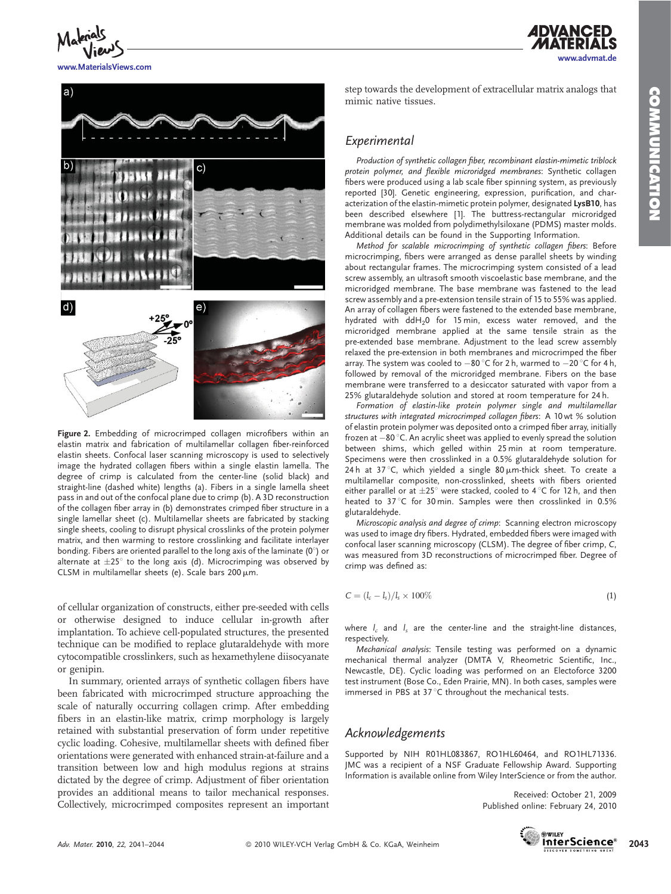www.advmat.de

*ADVANCED* 



www.MaterialsViews.com



Figure 2. Embedding of microcrimped collagen microfibers within an elastin matrix and fabrication of multilamellar collagen fiber-reinforced elastin sheets. Confocal laser scanning microscopy is used to selectively image the hydrated collagen fibers within a single elastin lamella. The degree of crimp is calculated from the center-line (solid black) and straight-line (dashed white) lengths (a). Fibers in a single lamella sheet pass in and out of the confocal plane due to crimp (b). A 3D reconstruction of the collagen fiber array in (b) demonstrates crimped fiber structure in a single lamellar sheet (c). Multilamellar sheets are fabricated by stacking single sheets, cooling to disrupt physical crosslinks of the protein polymer matrix, and then warming to restore crosslinking and facilitate interlayer bonding. Fibers are oriented parallel to the long axis of the laminate  $(0^{\circ})$  or alternate at  $\pm 25^\circ$  to the long axis (d). Microcrimping was observed by CLSM in multilamellar sheets (e). Scale bars  $200 \mu m$ .

of cellular organization of constructs, either pre-seeded with cells or otherwise designed to induce cellular in-growth after implantation. To achieve cell-populated structures, the presented technique can be modified to replace glutaraldehyde with more cytocompatible crosslinkers, such as hexamethylene diisocyanate or genipin.

In summary, oriented arrays of synthetic collagen fibers have been fabricated with microcrimped structure approaching the scale of naturally occurring collagen crimp. After embedding fibers in an elastin-like matrix, crimp morphology is largely retained with substantial preservation of form under repetitive cyclic loading. Cohesive, multilamellar sheets with defined fiber orientations were generated with enhanced strain-at-failure and a transition between low and high modulus regions at strains dictated by the degree of crimp. Adjustment of fiber orientation provides an additional means to tailor mechanical responses. Collectively, microcrimped composites represent an important step towards the development of extracellular matrix analogs that mimic native tissues.

## Experimental

Production of synthetic collagen fiber, recombinant elastin-mimetic triblock protein polymer, and flexible microridged membranes: Synthetic collagen fibers were produced using a lab scale fiber spinning system, as previously reported [30]. Genetic engineering, expression, purification, and characterization of the elastin-mimetic protein polymer, designated LysB10, has been described elsewhere [1]. The buttress-rectangular microridged membrane was molded from polydimethylsiloxane (PDMS) master molds. Additional details can be found in the Supporting Information.

Method for scalable microcrimping of synthetic collagen fibers: Before microcrimping, fibers were arranged as dense parallel sheets by winding about rectangular frames. The microcrimping system consisted of a lead screw assembly, an ultrasoft smooth viscoelastic base membrane, and the microridged membrane. The base membrane was fastened to the lead screw assembly and a pre-extension tensile strain of 15 to 55% was applied. An array of collagen fibers were fastened to the extended base membrane, hydrated with ddH<sub>2</sub>0 for 15 min, excess water removed, and the microridged membrane applied at the same tensile strain as the pre-extended base membrane. Adjustment to the lead screw assembly relaxed the pre-extension in both membranes and microcrimped the fiber array. The system was cooled to  $-80\,^{\circ}$ C for 2 h, warmed to  $-20\,^{\circ}$ C for 4 h, followed by removal of the microridged membrane. Fibers on the base membrane were transferred to a desiccator saturated with vapor from a 25% glutaraldehyde solution and stored at room temperature for 24 h.

Formation of elastin-like protein polymer single and multilamellar structures with integrated microcrimped collagen fibers: A 10 wt % solution of elastin protein polymer was deposited onto a crimped fiber array, initially frozen at  $-80\,^{\circ}$ C. An acrylic sheet was applied to evenly spread the solution between shims, which gelled within 25 min at room temperature. Specimens were then crosslinked in a 0.5% glutaraldehyde solution for 24 h at 37 °C, which yielded a single 80  $\mu$ m-thick sheet. To create a multilamellar composite, non-crosslinked, sheets with fibers oriented either parallel or at  $\pm 25^{\circ}$  were stacked, cooled to 4  $\degree$ C for 12 h, and then heated to 37°C for 30 min. Samples were then crosslinked in 0.5% glutaraldehyde.

Microscopic analysis and degree of crimp: Scanning electron microscopy was used to image dry fibers. Hydrated, embedded fibers were imaged with confocal laser scanning microscopy (CLSM). The degree of fiber crimp, C, was measured from 3D reconstructions of microcrimped fiber. Degree of crimp was defined as:

$$
C = (l_c - l_s)/l_s \times 100\%
$$
 (1)

where  $l_c$  and  $l_s$  are the center-line and the straight-line distances, respectively

Mechanical analysis: Tensile testing was performed on a dynamic mechanical thermal analyzer (DMTA V, Rheometric Scientific, Inc., Newcastle, DE). Cyclic loading was performed on an Electoforce 3200 test instrument (Bose Co., Eden Prairie, MN). In both cases, samples were immersed in PBS at  $37^{\circ}$ C throughout the mechanical tests.

## Acknowledgements

Supported by NIH R01HL083867, RO1HL60464, and RO1HL71336. JMC was a recipient of a NSF Graduate Fellowship Award. Supporting Information is available online from Wiley InterScience or from the author.

> Received: October 21, 2009 Published online: February 24, 2010